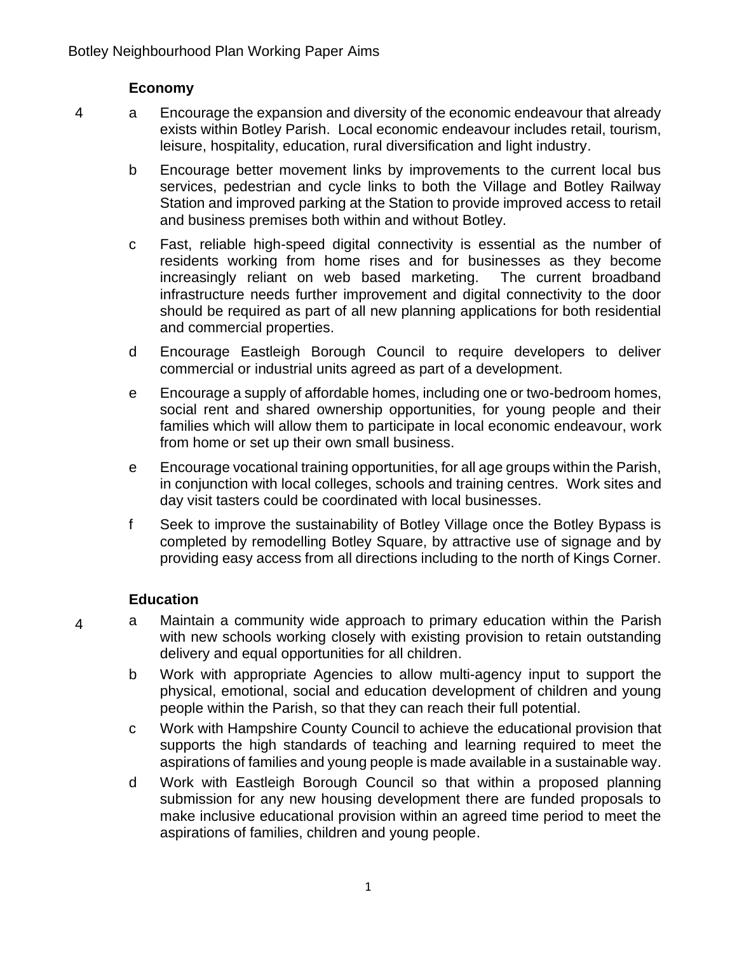#### **Economy**

- 4 a Encourage the expansion and diversity of the economic endeavour that already exists within Botley Parish. Local economic endeavour includes retail, tourism, leisure, hospitality, education, rural diversification and light industry.
	- b Encourage better movement links by improvements to the current local bus services, pedestrian and cycle links to both the Village and Botley Railway Station and improved parking at the Station to provide improved access to retail and business premises both within and without Botley.
	- c Fast, reliable high-speed digital connectivity is essential as the number of residents working from home rises and for businesses as they become increasingly reliant on web based marketing. The current broadband infrastructure needs further improvement and digital connectivity to the door should be required as part of all new planning applications for both residential and commercial properties.
	- d Encourage Eastleigh Borough Council to require developers to deliver commercial or industrial units agreed as part of a development.
	- e Encourage a supply of affordable homes, including one or two-bedroom homes, social rent and shared ownership opportunities, for young people and their families which will allow them to participate in local economic endeavour, work from home or set up their own small business.
	- e Encourage vocational training opportunities, for all age groups within the Parish, in conjunction with local colleges, schools and training centres. Work sites and day visit tasters could be coordinated with local businesses.
	- f Seek to improve the sustainability of Botley Village once the Botley Bypass is completed by remodelling Botley Square, by attractive use of signage and by providing easy access from all directions including to the north of Kings Corner.

#### **Education**

- 4 a Maintain a community wide approach to primary education within the Parish with new schools working closely with existing provision to retain outstanding delivery and equal opportunities for all children.
	- b Work with appropriate Agencies to allow multi-agency input to support the physical, emotional, social and education development of children and young people within the Parish, so that they can reach their full potential.
	- c Work with Hampshire County Council to achieve the educational provision that supports the high standards of teaching and learning required to meet the aspirations of families and young people is made available in a sustainable way.
	- d Work with Eastleigh Borough Council so that within a proposed planning submission for any new housing development there are funded proposals to make inclusive educational provision within an agreed time period to meet the aspirations of families, children and young people.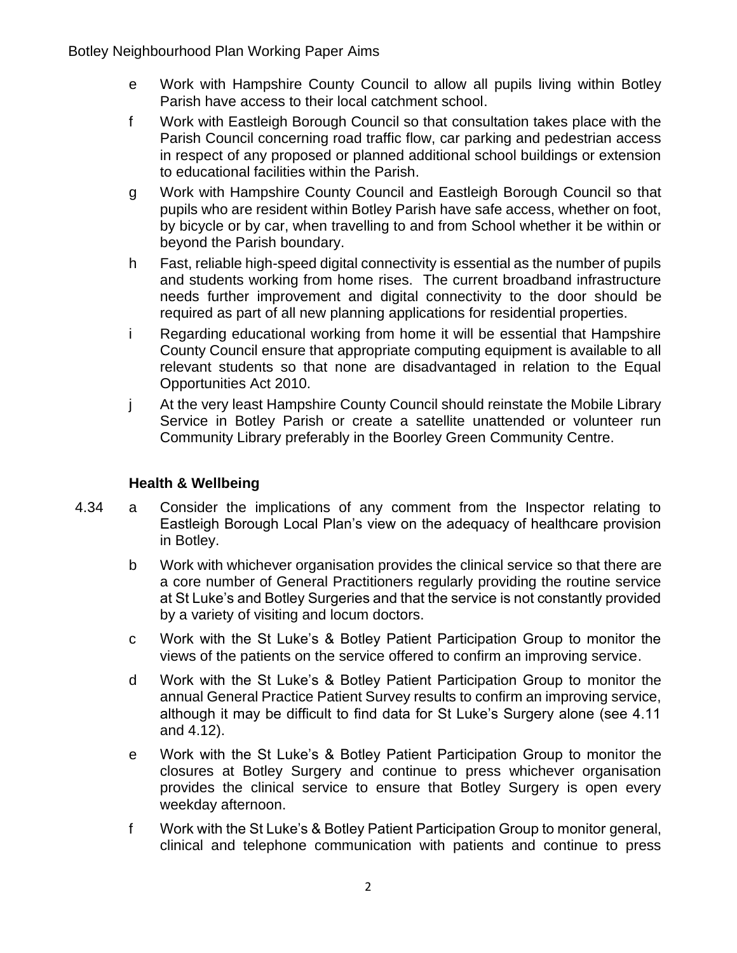- e Work with Hampshire County Council to allow all pupils living within Botley Parish have access to their local catchment school.
- f Work with Eastleigh Borough Council so that consultation takes place with the Parish Council concerning road traffic flow, car parking and pedestrian access in respect of any proposed or planned additional school buildings or extension to educational facilities within the Parish.
- g Work with Hampshire County Council and Eastleigh Borough Council so that pupils who are resident within Botley Parish have safe access, whether on foot, by bicycle or by car, when travelling to and from School whether it be within or beyond the Parish boundary.
- h Fast, reliable high-speed digital connectivity is essential as the number of pupils and students working from home rises. The current broadband infrastructure needs further improvement and digital connectivity to the door should be required as part of all new planning applications for residential properties.
- i Regarding educational working from home it will be essential that Hampshire County Council ensure that appropriate computing equipment is available to all relevant students so that none are disadvantaged in relation to the Equal Opportunities Act 2010.
- j At the very least Hampshire County Council should reinstate the Mobile Library Service in Botley Parish or create a satellite unattended or volunteer run Community Library preferably in the Boorley Green Community Centre.

# **Health & Wellbeing**

- 4.34 a Consider the implications of any comment from the Inspector relating to Eastleigh Borough Local Plan's view on the adequacy of healthcare provision in Botley.
	- b Work with whichever organisation provides the clinical service so that there are a core number of General Practitioners regularly providing the routine service at St Luke's and Botley Surgeries and that the service is not constantly provided by a variety of visiting and locum doctors.
	- c Work with the St Luke's & Botley Patient Participation Group to monitor the views of the patients on the service offered to confirm an improving service.
	- d Work with the St Luke's & Botley Patient Participation Group to monitor the annual General Practice Patient Survey results to confirm an improving service, although it may be difficult to find data for St Luke's Surgery alone (see 4.11 and 4.12).
	- e Work with the St Luke's & Botley Patient Participation Group to monitor the closures at Botley Surgery and continue to press whichever organisation provides the clinical service to ensure that Botley Surgery is open every weekday afternoon.
	- f Work with the St Luke's & Botley Patient Participation Group to monitor general, clinical and telephone communication with patients and continue to press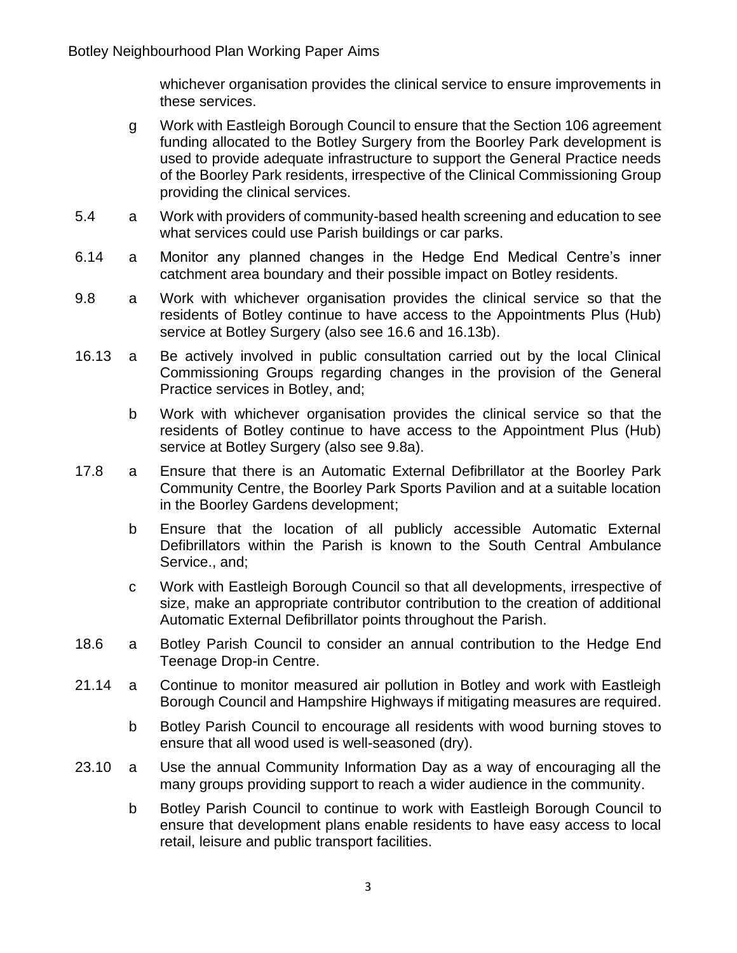whichever organisation provides the clinical service to ensure improvements in these services.

- g Work with Eastleigh Borough Council to ensure that the Section 106 agreement funding allocated to the Botley Surgery from the Boorley Park development is used to provide adequate infrastructure to support the General Practice needs of the Boorley Park residents, irrespective of the Clinical Commissioning Group providing the clinical services.
- 5.4 a Work with providers of community-based health screening and education to see what services could use Parish buildings or car parks.
- 6.14 a Monitor any planned changes in the Hedge End Medical Centre's inner catchment area boundary and their possible impact on Botley residents.
- 9.8 a Work with whichever organisation provides the clinical service so that the residents of Botley continue to have access to the Appointments Plus (Hub) service at Botley Surgery (also see 16.6 and 16.13b).
- 16.13 a Be actively involved in public consultation carried out by the local Clinical Commissioning Groups regarding changes in the provision of the General Practice services in Botley, and;
	- b Work with whichever organisation provides the clinical service so that the residents of Botley continue to have access to the Appointment Plus (Hub) service at Botley Surgery (also see 9.8a).
- 17.8 a Ensure that there is an Automatic External Defibrillator at the Boorley Park Community Centre, the Boorley Park Sports Pavilion and at a suitable location in the Boorley Gardens development;
	- b Ensure that the location of all publicly accessible Automatic External Defibrillators within the Parish is known to the South Central Ambulance Service., and;
	- c Work with Eastleigh Borough Council so that all developments, irrespective of size, make an appropriate contributor contribution to the creation of additional Automatic External Defibrillator points throughout the Parish.
- 18.6 a Botley Parish Council to consider an annual contribution to the Hedge End Teenage Drop-in Centre.
- 21.14 a Continue to monitor measured air pollution in Botley and work with Eastleigh Borough Council and Hampshire Highways if mitigating measures are required.
	- b Botley Parish Council to encourage all residents with wood burning stoves to ensure that all wood used is well-seasoned (dry).
- 23.10 a Use the annual Community Information Day as a way of encouraging all the many groups providing support to reach a wider audience in the community.
	- b Botley Parish Council to continue to work with Eastleigh Borough Council to ensure that development plans enable residents to have easy access to local retail, leisure and public transport facilities.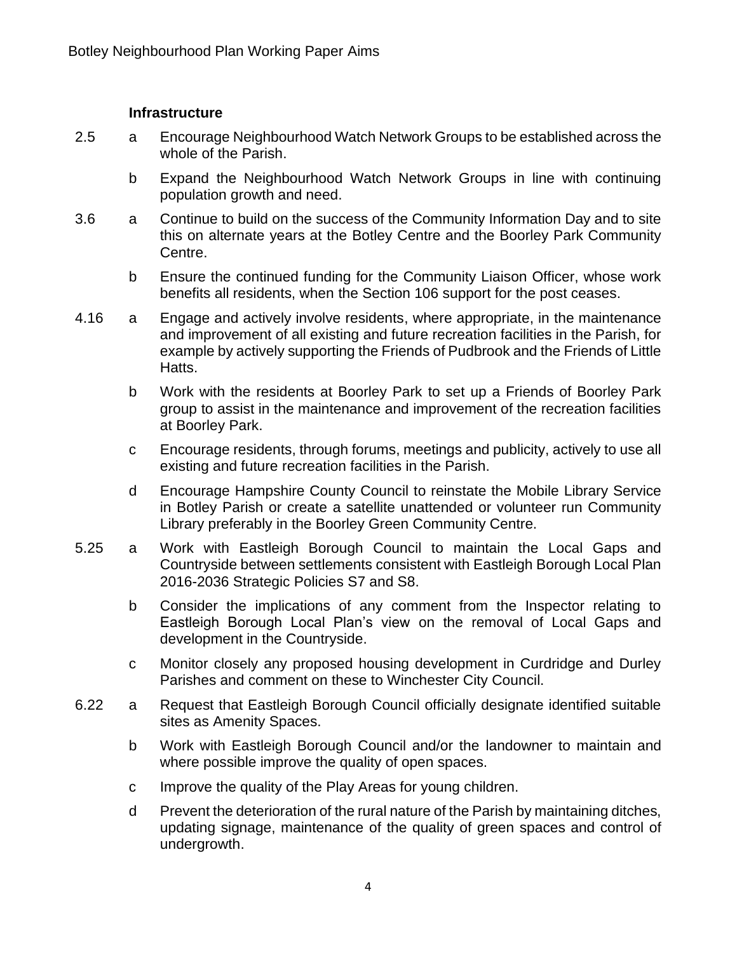#### **Infrastructure**

- 2.5 a Encourage Neighbourhood Watch Network Groups to be established across the whole of the Parish.
	- b Expand the Neighbourhood Watch Network Groups in line with continuing population growth and need.
- 3.6 a Continue to build on the success of the Community Information Day and to site this on alternate years at the Botley Centre and the Boorley Park Community Centre.
	- b Ensure the continued funding for the Community Liaison Officer, whose work benefits all residents, when the Section 106 support for the post ceases.
- 4.16 a Engage and actively involve residents, where appropriate, in the maintenance and improvement of all existing and future recreation facilities in the Parish, for example by actively supporting the Friends of Pudbrook and the Friends of Little Hatts.
	- b Work with the residents at Boorley Park to set up a Friends of Boorley Park group to assist in the maintenance and improvement of the recreation facilities at Boorley Park.
	- c Encourage residents, through forums, meetings and publicity, actively to use all existing and future recreation facilities in the Parish.
	- d Encourage Hampshire County Council to reinstate the Mobile Library Service in Botley Parish or create a satellite unattended or volunteer run Community Library preferably in the Boorley Green Community Centre.
- 5.25 a Work with Eastleigh Borough Council to maintain the Local Gaps and Countryside between settlements consistent with Eastleigh Borough Local Plan 2016-2036 Strategic Policies S7 and S8.
	- b Consider the implications of any comment from the Inspector relating to Eastleigh Borough Local Plan's view on the removal of Local Gaps and development in the Countryside.
	- c Monitor closely any proposed housing development in Curdridge and Durley Parishes and comment on these to Winchester City Council.
- 6.22 a Request that Eastleigh Borough Council officially designate identified suitable sites as Amenity Spaces.
	- b Work with Eastleigh Borough Council and/or the landowner to maintain and where possible improve the quality of open spaces.
	- c Improve the quality of the Play Areas for young children.
	- d Prevent the deterioration of the rural nature of the Parish by maintaining ditches, updating signage, maintenance of the quality of green spaces and control of undergrowth.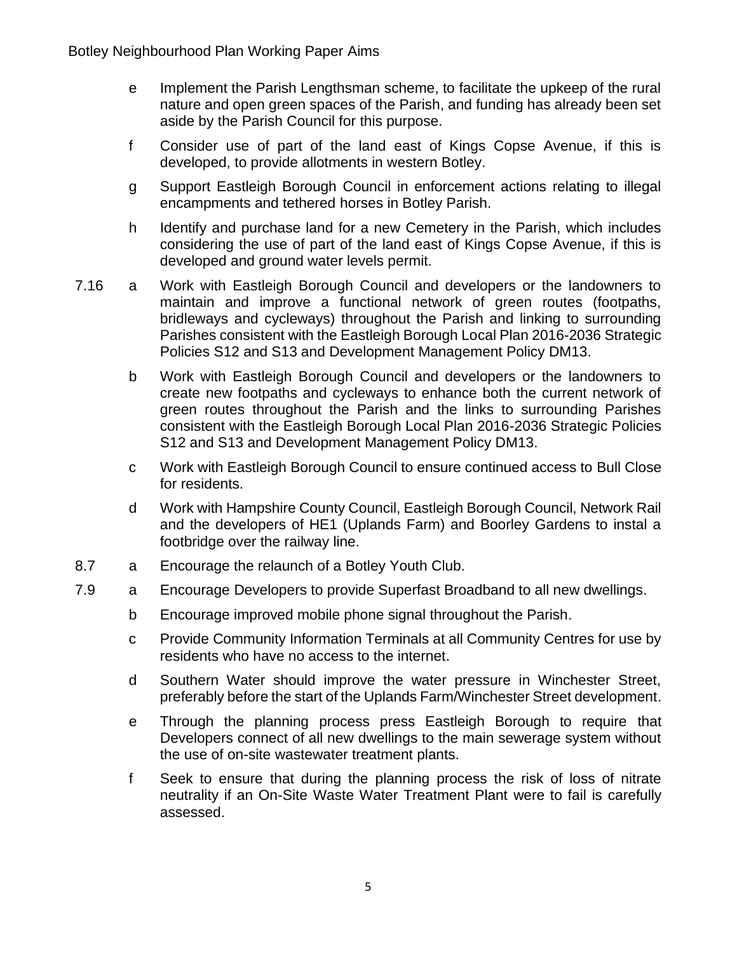- e Implement the Parish Lengthsman scheme, to facilitate the upkeep of the rural nature and open green spaces of the Parish, and funding has already been set aside by the Parish Council for this purpose.
- f Consider use of part of the land east of Kings Copse Avenue, if this is developed, to provide allotments in western Botley.
- g Support Eastleigh Borough Council in enforcement actions relating to illegal encampments and tethered horses in Botley Parish.
- h Identify and purchase land for a new Cemetery in the Parish, which includes considering the use of part of the land east of Kings Copse Avenue, if this is developed and ground water levels permit.
- 7.16 a Work with Eastleigh Borough Council and developers or the landowners to maintain and improve a functional network of green routes (footpaths, bridleways and cycleways) throughout the Parish and linking to surrounding Parishes consistent with the Eastleigh Borough Local Plan 2016-2036 Strategic Policies S12 and S13 and Development Management Policy DM13.
	- b Work with Eastleigh Borough Council and developers or the landowners to create new footpaths and cycleways to enhance both the current network of green routes throughout the Parish and the links to surrounding Parishes consistent with the Eastleigh Borough Local Plan 2016-2036 Strategic Policies S12 and S13 and Development Management Policy DM13.
	- c Work with Eastleigh Borough Council to ensure continued access to Bull Close for residents.
	- d Work with Hampshire County Council, Eastleigh Borough Council, Network Rail and the developers of HE1 (Uplands Farm) and Boorley Gardens to instal a footbridge over the railway line.
- 8.7 a Encourage the relaunch of a Botley Youth Club.
- 7.9 a Encourage Developers to provide Superfast Broadband to all new dwellings.
	- b Encourage improved mobile phone signal throughout the Parish.
	- c Provide Community Information Terminals at all Community Centres for use by residents who have no access to the internet.
	- d Southern Water should improve the water pressure in Winchester Street, preferably before the start of the Uplands Farm/Winchester Street development.
	- e Through the planning process press Eastleigh Borough to require that Developers connect of all new dwellings to the main sewerage system without the use of on-site wastewater treatment plants.
	- f Seek to ensure that during the planning process the risk of loss of nitrate neutrality if an On-Site Waste Water Treatment Plant were to fail is carefully assessed.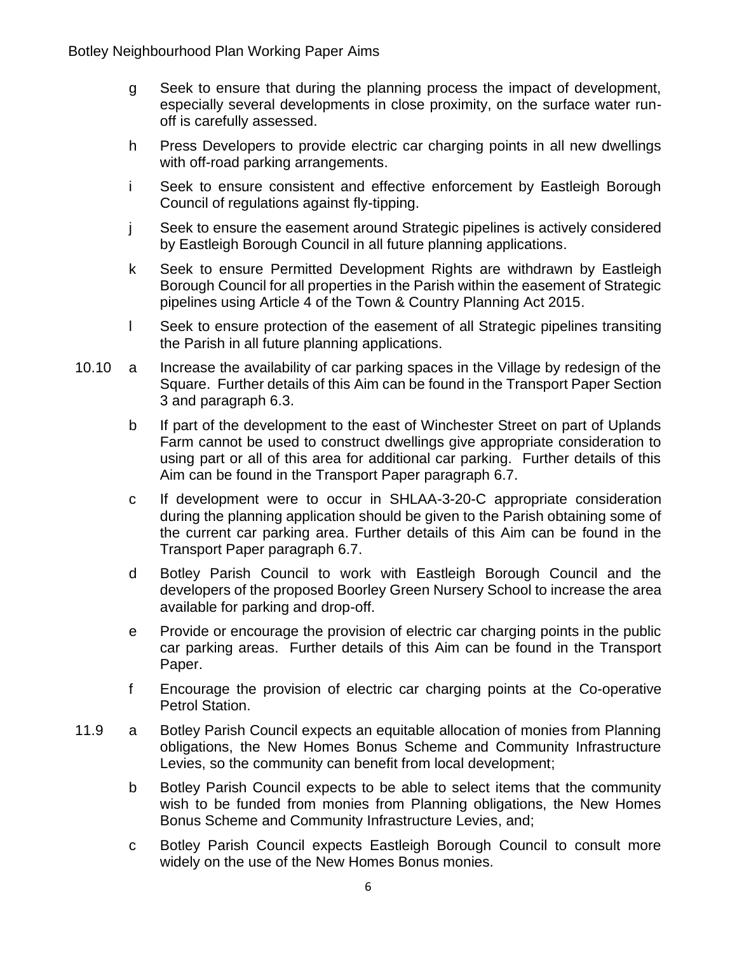- g Seek to ensure that during the planning process the impact of development, especially several developments in close proximity, on the surface water runoff is carefully assessed.
- h Press Developers to provide electric car charging points in all new dwellings with off-road parking arrangements.
- i Seek to ensure consistent and effective enforcement by Eastleigh Borough Council of regulations against fly-tipping.
- j Seek to ensure the easement around Strategic pipelines is actively considered by Eastleigh Borough Council in all future planning applications.
- k Seek to ensure Permitted Development Rights are withdrawn by Eastleigh Borough Council for all properties in the Parish within the easement of Strategic pipelines using Article 4 of the Town & Country Planning Act 2015.
- l Seek to ensure protection of the easement of all Strategic pipelines transiting the Parish in all future planning applications.
- 10.10 a Increase the availability of car parking spaces in the Village by redesign of the Square. Further details of this Aim can be found in the Transport Paper Section 3 and paragraph 6.3.
	- b If part of the development to the east of Winchester Street on part of Uplands Farm cannot be used to construct dwellings give appropriate consideration to using part or all of this area for additional car parking. Further details of this Aim can be found in the Transport Paper paragraph 6.7.
	- c If development were to occur in SHLAA-3-20-C appropriate consideration during the planning application should be given to the Parish obtaining some of the current car parking area. Further details of this Aim can be found in the Transport Paper paragraph 6.7.
	- d Botley Parish Council to work with Eastleigh Borough Council and the developers of the proposed Boorley Green Nursery School to increase the area available for parking and drop-off.
	- e Provide or encourage the provision of electric car charging points in the public car parking areas. Further details of this Aim can be found in the Transport Paper.
	- f Encourage the provision of electric car charging points at the Co-operative Petrol Station.
- 11.9 a Botley Parish Council expects an equitable allocation of monies from Planning obligations, the New Homes Bonus Scheme and Community Infrastructure Levies, so the community can benefit from local development;
	- b Botley Parish Council expects to be able to select items that the community wish to be funded from monies from Planning obligations, the New Homes Bonus Scheme and Community Infrastructure Levies, and;
	- c Botley Parish Council expects Eastleigh Borough Council to consult more widely on the use of the New Homes Bonus monies.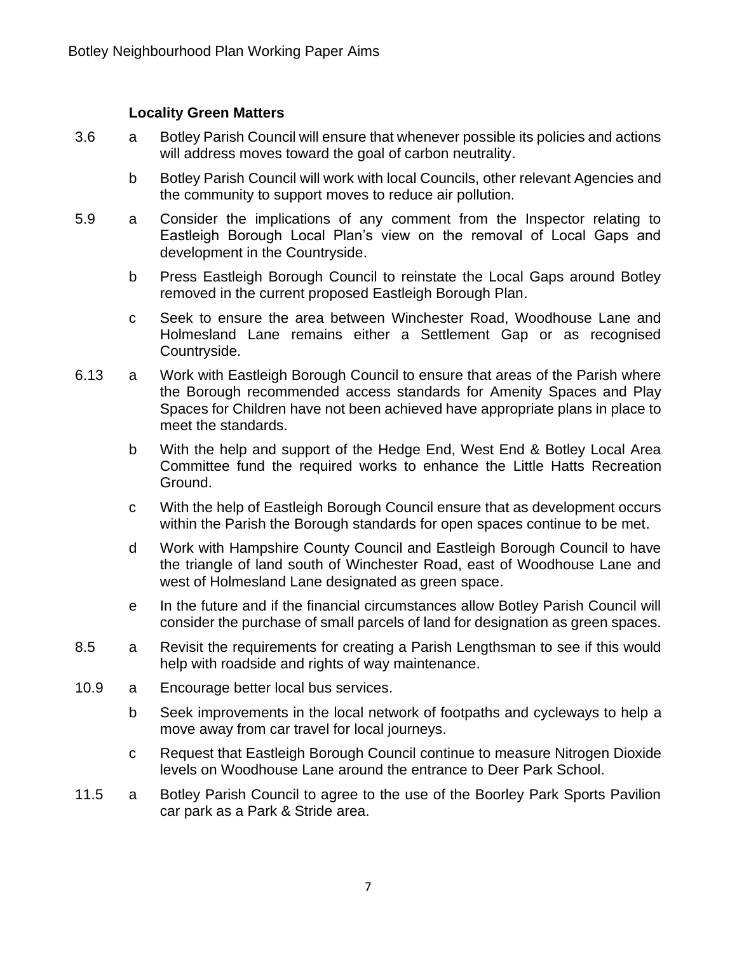### **Locality Green Matters**

- 3.6 a Botley Parish Council will ensure that whenever possible its policies and actions will address moves toward the goal of carbon neutrality.
	- b Botley Parish Council will work with local Councils, other relevant Agencies and the community to support moves to reduce air pollution.
- 5.9 a Consider the implications of any comment from the Inspector relating to Eastleigh Borough Local Plan's view on the removal of Local Gaps and development in the Countryside.
	- b Press Eastleigh Borough Council to reinstate the Local Gaps around Botley removed in the current proposed Eastleigh Borough Plan.
	- c Seek to ensure the area between Winchester Road, Woodhouse Lane and Holmesland Lane remains either a Settlement Gap or as recognised Countryside.
- 6.13 a Work with Eastleigh Borough Council to ensure that areas of the Parish where the Borough recommended access standards for Amenity Spaces and Play Spaces for Children have not been achieved have appropriate plans in place to meet the standards.
	- b With the help and support of the Hedge End, West End & Botley Local Area Committee fund the required works to enhance the Little Hatts Recreation Ground.
	- c With the help of Eastleigh Borough Council ensure that as development occurs within the Parish the Borough standards for open spaces continue to be met.
	- d Work with Hampshire County Council and Eastleigh Borough Council to have the triangle of land south of Winchester Road, east of Woodhouse Lane and west of Holmesland Lane designated as green space.
	- e In the future and if the financial circumstances allow Botley Parish Council will consider the purchase of small parcels of land for designation as green spaces.
- 8.5 a Revisit the requirements for creating a Parish Lengthsman to see if this would help with roadside and rights of way maintenance.
- 10.9 a Encourage better local bus services.
	- b Seek improvements in the local network of footpaths and cycleways to help a move away from car travel for local journeys.
	- c Request that Eastleigh Borough Council continue to measure Nitrogen Dioxide levels on Woodhouse Lane around the entrance to Deer Park School.
- 11.5 a Botley Parish Council to agree to the use of the Boorley Park Sports Pavilion car park as a Park & Stride area.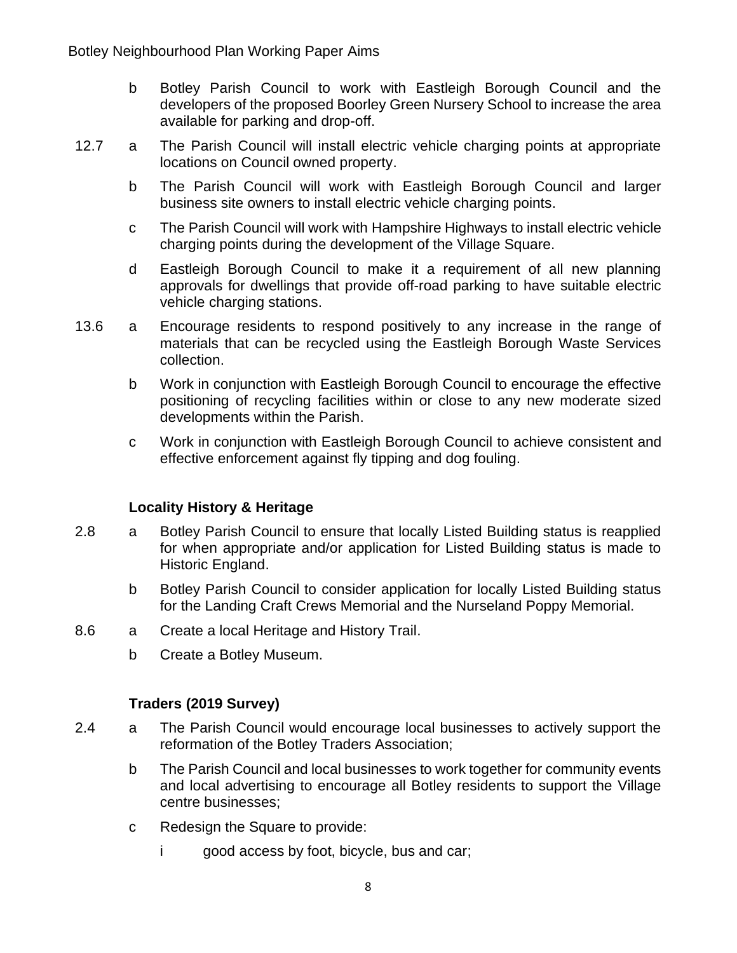- b Botley Parish Council to work with Eastleigh Borough Council and the developers of the proposed Boorley Green Nursery School to increase the area available for parking and drop-off.
- 12.7 a The Parish Council will install electric vehicle charging points at appropriate locations on Council owned property.
	- b The Parish Council will work with Eastleigh Borough Council and larger business site owners to install electric vehicle charging points.
	- c The Parish Council will work with Hampshire Highways to install electric vehicle charging points during the development of the Village Square.
	- d Eastleigh Borough Council to make it a requirement of all new planning approvals for dwellings that provide off-road parking to have suitable electric vehicle charging stations.
- 13.6 a Encourage residents to respond positively to any increase in the range of materials that can be recycled using the Eastleigh Borough Waste Services collection.
	- b Work in conjunction with Eastleigh Borough Council to encourage the effective positioning of recycling facilities within or close to any new moderate sized developments within the Parish.
	- c Work in conjunction with Eastleigh Borough Council to achieve consistent and effective enforcement against fly tipping and dog fouling.

#### **Locality History & Heritage**

- 2.8 a Botley Parish Council to ensure that locally Listed Building status is reapplied for when appropriate and/or application for Listed Building status is made to Historic England.
	- b Botley Parish Council to consider application for locally Listed Building status for the Landing Craft Crews Memorial and the Nurseland Poppy Memorial.
- 8.6 a Create a local Heritage and History Trail.
	- b Create a Botley Museum.

### **Traders (2019 Survey)**

- 2.4 a The Parish Council would encourage local businesses to actively support the reformation of the Botley Traders Association;
	- b The Parish Council and local businesses to work together for community events and local advertising to encourage all Botley residents to support the Village centre businesses;
	- c Redesign the Square to provide:
		- i good access by foot, bicycle, bus and car;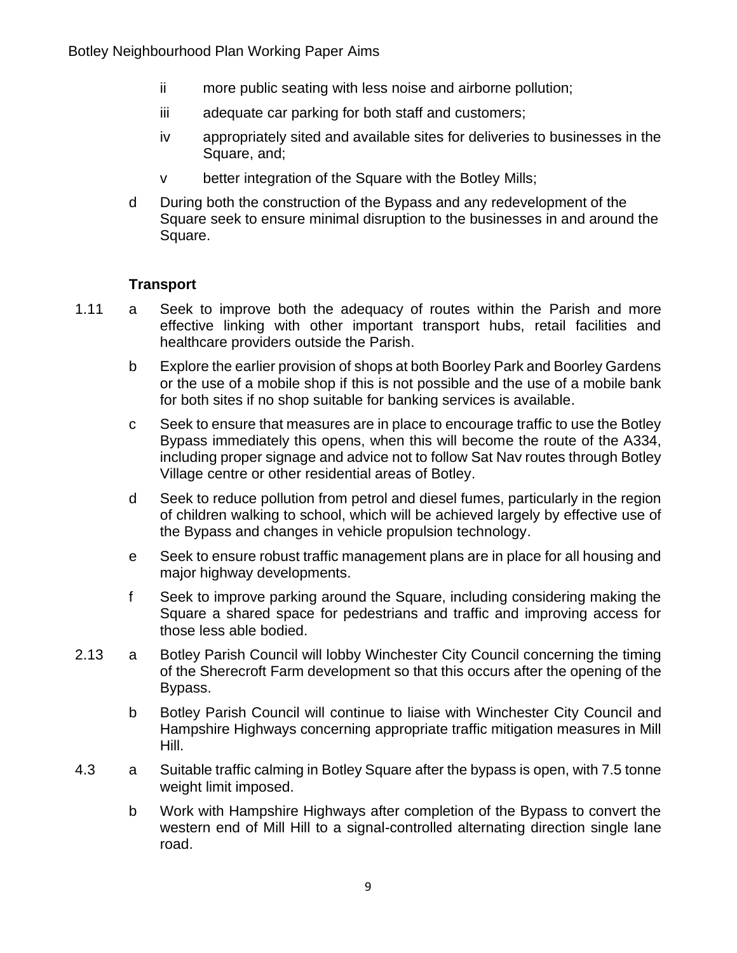- ii more public seating with less noise and airborne pollution;
- iii adequate car parking for both staff and customers;
- iv appropriately sited and available sites for deliveries to businesses in the Square, and;
- v better integration of the Square with the Botley Mills;
- d During both the construction of the Bypass and any redevelopment of the Square seek to ensure minimal disruption to the businesses in and around the Square.

#### **Transport**

- 1.11 a Seek to improve both the adequacy of routes within the Parish and more effective linking with other important transport hubs, retail facilities and healthcare providers outside the Parish.
	- b Explore the earlier provision of shops at both Boorley Park and Boorley Gardens or the use of a mobile shop if this is not possible and the use of a mobile bank for both sites if no shop suitable for banking services is available.
	- c Seek to ensure that measures are in place to encourage traffic to use the Botley Bypass immediately this opens, when this will become the route of the A334, including proper signage and advice not to follow Sat Nav routes through Botley Village centre or other residential areas of Botley.
	- d Seek to reduce pollution from petrol and diesel fumes, particularly in the region of children walking to school, which will be achieved largely by effective use of the Bypass and changes in vehicle propulsion technology.
	- e Seek to ensure robust traffic management plans are in place for all housing and major highway developments.
	- f Seek to improve parking around the Square, including considering making the Square a shared space for pedestrians and traffic and improving access for those less able bodied.
- 2.13 a Botley Parish Council will lobby Winchester City Council concerning the timing of the Sherecroft Farm development so that this occurs after the opening of the Bypass.
	- b Botley Parish Council will continue to liaise with Winchester City Council and Hampshire Highways concerning appropriate traffic mitigation measures in Mill Hill.
- 4.3 a Suitable traffic calming in Botley Square after the bypass is open, with 7.5 tonne weight limit imposed.
	- b Work with Hampshire Highways after completion of the Bypass to convert the western end of Mill Hill to a signal-controlled alternating direction single lane road.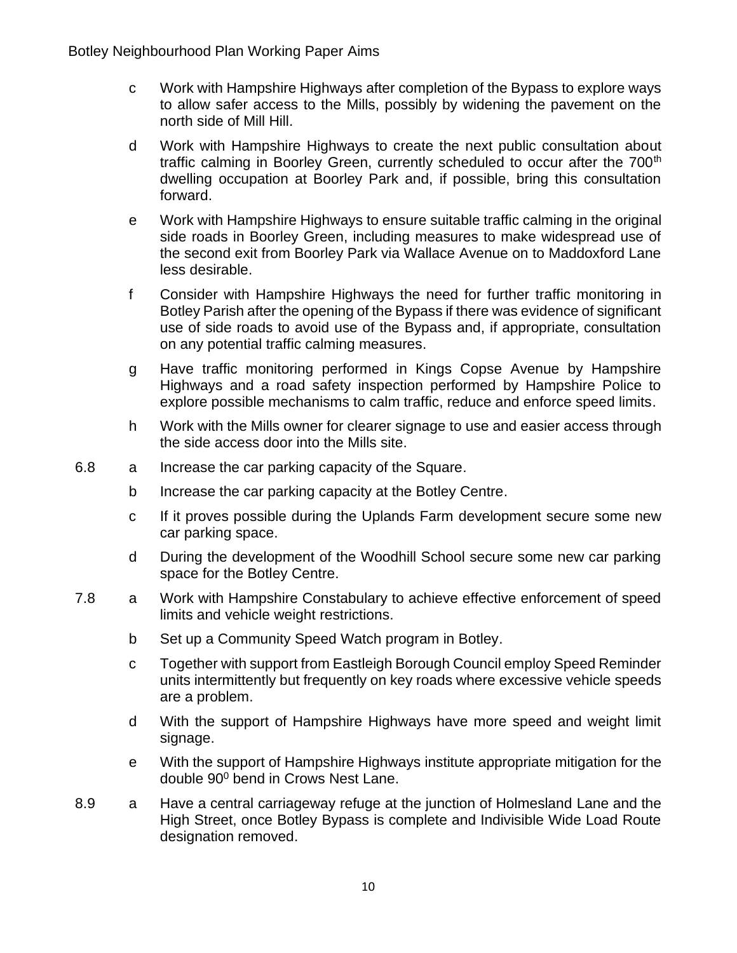- c Work with Hampshire Highways after completion of the Bypass to explore ways to allow safer access to the Mills, possibly by widening the pavement on the north side of Mill Hill.
- d Work with Hampshire Highways to create the next public consultation about traffic calming in Boorley Green, currently scheduled to occur after the 700<sup>th</sup> dwelling occupation at Boorley Park and, if possible, bring this consultation forward.
- e Work with Hampshire Highways to ensure suitable traffic calming in the original side roads in Boorley Green, including measures to make widespread use of the second exit from Boorley Park via Wallace Avenue on to Maddoxford Lane less desirable.
- f Consider with Hampshire Highways the need for further traffic monitoring in Botley Parish after the opening of the Bypass if there was evidence of significant use of side roads to avoid use of the Bypass and, if appropriate, consultation on any potential traffic calming measures.
- g Have traffic monitoring performed in Kings Copse Avenue by Hampshire Highways and a road safety inspection performed by Hampshire Police to explore possible mechanisms to calm traffic, reduce and enforce speed limits.
- h Work with the Mills owner for clearer signage to use and easier access through the side access door into the Mills site.
- 6.8 a Increase the car parking capacity of the Square.
	- b Increase the car parking capacity at the Botley Centre.
	- c If it proves possible during the Uplands Farm development secure some new car parking space.
	- d During the development of the Woodhill School secure some new car parking space for the Botley Centre.
- 7.8 a Work with Hampshire Constabulary to achieve effective enforcement of speed limits and vehicle weight restrictions.
	- b Set up a Community Speed Watch program in Botley.
	- c Together with support from Eastleigh Borough Council employ Speed Reminder units intermittently but frequently on key roads where excessive vehicle speeds are a problem.
	- d With the support of Hampshire Highways have more speed and weight limit signage.
	- e With the support of Hampshire Highways institute appropriate mitigation for the double 90<sup>0</sup> bend in Crows Nest Lane.
- 8.9 a Have a central carriageway refuge at the junction of Holmesland Lane and the High Street, once Botley Bypass is complete and Indivisible Wide Load Route designation removed.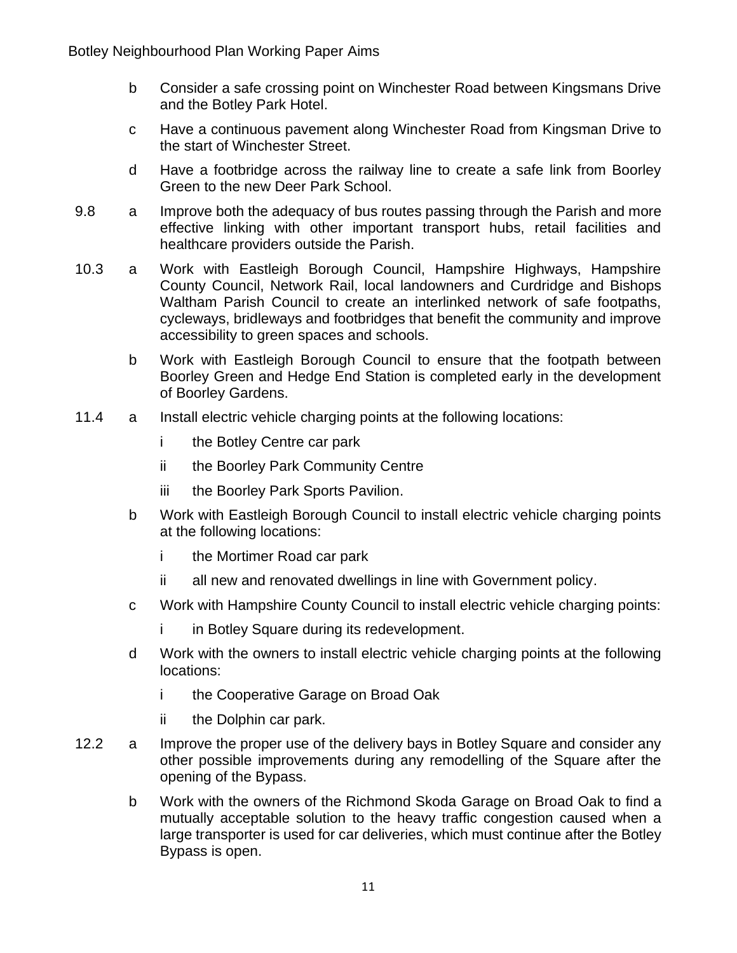- b Consider a safe crossing point on Winchester Road between Kingsmans Drive and the Botley Park Hotel.
- c Have a continuous pavement along Winchester Road from Kingsman Drive to the start of Winchester Street.
- d Have a footbridge across the railway line to create a safe link from Boorley Green to the new Deer Park School.
- 9.8 a Improve both the adequacy of bus routes passing through the Parish and more effective linking with other important transport hubs, retail facilities and healthcare providers outside the Parish.
- 10.3 a Work with Eastleigh Borough Council, Hampshire Highways, Hampshire County Council, Network Rail, local landowners and Curdridge and Bishops Waltham Parish Council to create an interlinked network of safe footpaths, cycleways, bridleways and footbridges that benefit the community and improve accessibility to green spaces and schools.
	- b Work with Eastleigh Borough Council to ensure that the footpath between Boorley Green and Hedge End Station is completed early in the development of Boorley Gardens.
- 11.4 a Install electric vehicle charging points at the following locations:
	- i the Botley Centre car park
	- ii the Boorley Park Community Centre
	- iii the Boorley Park Sports Pavilion.
	- b Work with Eastleigh Borough Council to install electric vehicle charging points at the following locations:
		- i the Mortimer Road car park
		- ii all new and renovated dwellings in line with Government policy.
	- c Work with Hampshire County Council to install electric vehicle charging points:
		- i in Botley Square during its redevelopment.
	- d Work with the owners to install electric vehicle charging points at the following locations:
		- i the Cooperative Garage on Broad Oak
		- ii the Dolphin car park.
- 12.2 a Improve the proper use of the delivery bays in Botley Square and consider any other possible improvements during any remodelling of the Square after the opening of the Bypass.
	- b Work with the owners of the Richmond Skoda Garage on Broad Oak to find a mutually acceptable solution to the heavy traffic congestion caused when a large transporter is used for car deliveries, which must continue after the Botley Bypass is open.